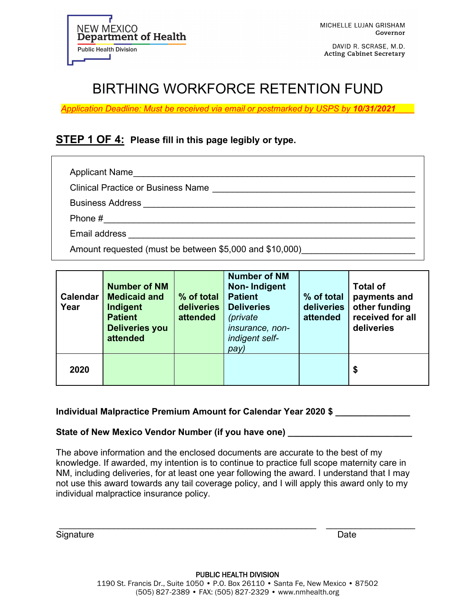

DAVID R. SCRASE, M.D. **Acting Cabinet Secretary** 

# BIRTHING WORKFORCE RETENTION FUND

*Application Deadline: Must be received via email or postmarked by USPS by 10/31/2021\_\_\_\_*

## **STEP 1 OF 4: Please fill in this page legibly or type.**

Applicant Name\_\_\_\_\_\_\_\_\_\_\_\_\_\_\_\_\_\_\_\_\_\_\_\_\_\_\_\_\_\_\_\_\_\_\_\_\_\_\_\_\_\_\_\_\_\_\_\_\_\_\_\_\_\_\_\_\_

Clinical Practice or Business Name \_\_\_\_\_\_\_\_\_\_\_\_\_\_\_\_\_\_\_\_\_\_\_\_\_\_\_\_\_\_\_\_\_\_\_\_\_\_\_\_\_

Business Address \_\_\_\_\_\_\_\_\_\_\_\_\_\_\_\_\_\_\_\_\_\_\_\_\_\_\_\_\_\_\_\_\_\_\_\_\_\_\_\_\_\_\_\_\_\_\_\_\_\_\_\_\_\_\_

Phone #\_\_\_\_\_\_\_\_\_\_\_\_\_\_\_\_\_\_\_\_\_\_\_\_\_\_\_\_\_\_\_\_\_\_\_\_\_\_\_\_\_\_\_\_\_\_\_\_\_\_\_\_\_\_\_\_\_\_\_\_\_\_\_

Email address \_\_\_\_\_\_\_\_\_\_\_\_\_\_\_\_\_\_\_\_\_\_\_\_\_\_\_\_\_\_\_\_\_\_\_\_\_\_\_\_\_\_\_\_\_\_\_\_\_\_\_\_\_\_\_\_\_\_

Amount requested (must be between \$5,000 and \$10,000)

| <b>Calendar</b><br>Year | <b>Number of NM</b><br><b>Medicaid and</b><br>Indigent<br><b>Patient</b><br><b>Deliveries you</b><br>attended | % of total<br>deliveries<br>attended | <b>Number of NM</b><br><b>Non-Indigent</b><br><b>Patient</b><br><b>Deliveries</b><br>(private<br>insurance, non-<br>indigent self-<br>pay) | % of total<br>deliveries<br>attended | <b>Total of</b><br>payments and<br>other funding<br>received for all<br>deliveries |
|-------------------------|---------------------------------------------------------------------------------------------------------------|--------------------------------------|--------------------------------------------------------------------------------------------------------------------------------------------|--------------------------------------|------------------------------------------------------------------------------------|
| 2020                    |                                                                                                               |                                      |                                                                                                                                            |                                      | \$                                                                                 |

#### **Individual Malpractice Premium Amount for Calendar Year 2020 \$ \_\_\_\_\_\_\_\_\_\_\_\_\_\_\_**

#### **State of New Mexico Vendor Number (if you have one)**

The above information and the enclosed documents are accurate to the best of my knowledge. If awarded, my intention is to continue to practice full scope maternity care in NM, including deliveries, for at least one year following the award. I understand that I may not use this award towards any tail coverage policy, and I will apply this award only to my individual malpractice insurance policy.

\_\_\_\_\_\_\_\_\_\_\_\_\_\_\_\_\_\_\_\_\_\_\_\_\_\_\_\_\_\_\_\_\_\_\_\_\_\_\_\_\_\_\_\_\_\_\_\_\_\_\_\_ \_\_\_\_\_\_\_\_\_\_\_\_\_\_\_\_\_\_ Signature Date **Date**